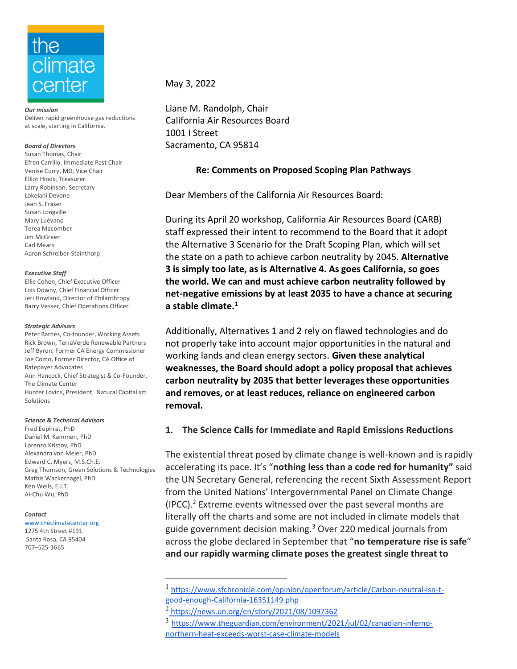

*Our mission* Deliver rapid greenhouse gas reductions at scale, starting in California.

### *Board of Directors*

Susan Thomas, Chair Efren Carrillo, Immediate Past Chair Venise Curry, MD, Vice Chair Elliot Hinds, Treasurer Larry Robinson, Secretary Lokelani Devone Jean S. Fraser Susan Longville Mary Luévano Terea Macomber Jim McGreen Carl Mears Aaron Schreiber-Stainthorp

*Executive Staff*

Ellie Cohen, Chief Executive Officer Lois Downy, Chief Financial Officer Jeri Howland, Director of Philanthropy Barry Vesser, Chief Operations Officer

### *Strategic Advisors*

Peter Barnes, Co-founder, Working Assets Rick Brown, TerraVerde Renewable Partners Jeff Byron, Former CA Energy Commissioner Joe Como, Former Director, CA Office of Ratepayer Advocates Ann Hancock, Chief Strategist & Co-Founder, The Climate Center Hunter Lovins, President, Natural Capitalism Solutions

### *Science & Technical Advisors*

Fred Euphrat, PhD Daniel M. Kammen, PhD Lorenzo Kristov, PhD Alexandra von Meier, PhD Edward C. Myers, M.S.Ch.E. Greg Thomson, Green Solutions & Technologies Mathis Wackernagel, PhD Ken Wells, E.I.T. Ai-Chu Wu, PhD

### *Contact*

707–525-1665

www.theclimatecenter.org 1275 4th Street #191 Santa Rosa, CA 95404

May 3, 2022

Liane M. Randolph, Chair California Air Resources Board 1001 I Street Sacramento, CA 95814

### **Re: Comments on Proposed Scoping Plan Pathways**

Dear Members of the California Air Resources Board:

During its April 20 workshop, California Air Resources Board (CARB) staff expressed their intent to recommend to the Board that it adopt the Alternative 3 Scenario for the Draft Scoping Plan, which will set the state on a path to achieve carbon neutrality by 2045. **Alternative 3 is simply too late, as is Alternative 4. As goes California, so goes the world. We can and must achieve carbon neutrality followed by net-negative emissions by at least 2035 to have a chance at securing a stable climate.<sup>1</sup>**

Additionally, Alternatives 1 and 2 rely on flawed technologies and do not properly take into account major opportunities in the natural and working lands and clean energy sectors. **Given these analytical weaknesses, the Board should adopt a policy proposal that achieves carbon neutrality by 2035 that better leverages these opportunities and removes, or at least reduces, reliance on engineered carbon removal.** 

## **1. The Science Calls for Immediate and Rapid Emissions Reductions**

The existential threat posed by climate change is well-known and is rapidly accelerating its pace. It's "**nothing less than a code red for humanity"** said the UN Secretary General, referencing the recent Sixth Assessment Report from the United Nations' Intergovernmental Panel on Climate Change (IPCC). <sup>2</sup> Extreme events witnessed over the past several months are literally off the charts and some are not included in climate models that guide government decision making.<sup>3</sup> Over 220 medical journals from across the globe declared in September that "**no temperature rise is safe**" **and our rapidly warming climate poses the greatest single threat to** 

<sup>1</sup> [https://www.sfchronicle.com/opinion/openforum/article/Carbon-neutral-isn-t](https://www.sfchronicle.com/opinion/openforum/article/Carbon-neutral-isn-t-good-enough-California-16351149.php)[good-enough-California-16351149.php](https://www.sfchronicle.com/opinion/openforum/article/Carbon-neutral-isn-t-good-enough-California-16351149.php)

<sup>2</sup> <https://news.un.org/en/story/2021/08/1097362>

<sup>3</sup> [https://www.theguardian.com/environment/2021/jul/02/canadian-inferno](https://www.theguardian.com/environment/2021/jul/02/canadian-inferno-northern-heat-exceeds-worst-case-climate-models)[northern-heat-exceeds-worst-case-climate-models](https://www.theguardian.com/environment/2021/jul/02/canadian-inferno-northern-heat-exceeds-worst-case-climate-models)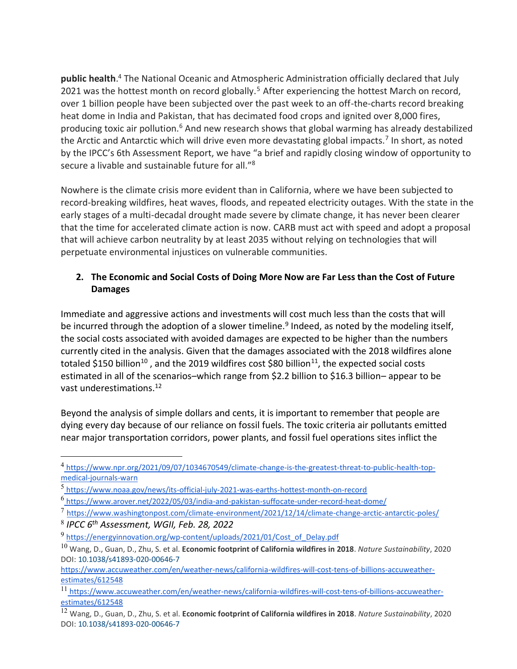**public health**. <sup>4</sup> The National Oceanic and Atmospheric Administration officially declared that July 2021 was the hottest month on record globally.<sup>5</sup> After experiencing the hottest March on record, over 1 billion people have been subjected over the past week to an off-the-charts record breaking heat dome in India and Pakistan, that has decimated food crops and ignited over 8,000 fires, producing toxic air pollution.<sup>6</sup> And new research shows that global warming has already destabilized the Arctic and Antarctic which will drive even more devastating global impacts.<sup>7</sup> In short, as noted by the IPCC's 6th Assessment Report, we have "a brief and rapidly closing window of opportunity to secure a livable and sustainable future for all."<sup>8</sup>

Nowhere is the climate crisis more evident than in California, where we have been subjected to record-breaking wildfires, heat waves, floods, and repeated electricity outages. With the state in the early stages of a multi-decadal drought made severe by climate change, it has never been clearer that the time for accelerated climate action is now. CARB must act with speed and adopt a proposal that will achieve carbon neutrality by at least 2035 without relying on technologies that will perpetuate environmental injustices on vulnerable communities.

## **2. The Economic and Social Costs of Doing More Now are Far Less than the Cost of Future Damages**

Immediate and aggressive actions and investments will cost much less than the costs that will be incurred through the adoption of a slower timeline.<sup>9</sup> Indeed, as noted by the modeling itself, the social costs associated with avoided damages are expected to be higher than the numbers currently cited in the analysis. Given that the damages associated with the 2018 wildfires alone totaled \$150 billion<sup>10</sup>, and the 2019 wildfires cost \$80 billion<sup>11</sup>, the expected social costs estimated in all of the scenarios–which range from \$2.2 billion to \$16.3 billion– appear to be vast underestimations.<sup>12</sup>

Beyond the analysis of simple dollars and cents, it is important to remember that people are dying every day because of our reliance on fossil fuels. The toxic criteria air pollutants emitted near major transportation corridors, power plants, and fossil fuel operations sites inflict the

<sup>4</sup> [https://www.npr.org/2021/09/07/1034670549/climate-change-is-the-greatest-threat-to-public-health-top](https://www.npr.org/2021/09/07/1034670549/climate-change-is-the-greatest-threat-to-public-health-top-medical-journals-warn)[medical-journals-warn](https://www.npr.org/2021/09/07/1034670549/climate-change-is-the-greatest-threat-to-public-health-top-medical-journals-warn)

<sup>5</sup> <https://www.noaa.gov/news/its-official-july-2021-was-earths-hottest-month-on-record>

<sup>6</sup> <https://www.arover.net/2022/05/03/india-and-pakistan-suffocate-under-record-heat-dome/>

<sup>7</sup> <https://www.washingtonpost.com/climate-environment/2021/12/14/climate-change-arctic-antarctic-poles/>

<sup>8</sup> *IPCC 6th Assessment, WGII, Feb. 28, 2022*

<sup>9</sup> [https://energyinnovation.org/wp-content/uploads/2021/01/Cost\\_of\\_Delay.pdf](https://energyinnovation.org/wp-content/uploads/2021/01/Cost_of_Delay.pdf)

<sup>10</sup> Wang, D., Guan, D., Zhu, S. et al. **Economic footprint of California wildfires in 2018**. *Nature Sustainability*, 2020 DOI[: 10.1038/s41893-020-00646-7](http://dx.doi.org/10.1038/s41893-020-00646-7)

https://www.accuweather.com/en/weather-news/california-wildfires-will-cost-tens-of-billions-accuweatherestimates/612548

<sup>11</sup> https://www.accuweather.com/en/weather-news/california-wildfires-will-cost-tens-of-billions-accuweatherestimates/612548

<sup>12</sup> Wang, D., Guan, D., Zhu, S. et al. **Economic footprint of California wildfires in 2018**. *Nature Sustainability*, 2020 DOI[: 10.1038/s41893-020-00646-7](http://dx.doi.org/10.1038/s41893-020-00646-7)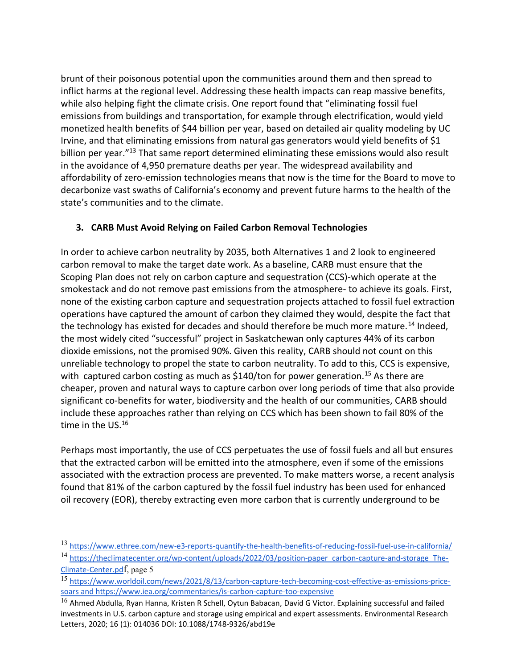brunt of their poisonous potential upon the communities around them and then spread to inflict harms at the regional level. Addressing these health impacts can reap massive benefits, while also helping fight the climate crisis. One report found that "eliminating fossil fuel emissions from buildings and transportation, for example through electrification, would yield monetized health benefits of \$44 billion per year, based on detailed air quality modeling by UC Irvine, and that eliminating emissions from natural gas generators would yield benefits of \$1 billion per year."<sup>13</sup> That same report determined eliminating these emissions would also result in the avoidance of 4,950 premature deaths per year. The widespread availability and affordability of zero-emission technologies means that now is the time for the Board to move to decarbonize vast swaths of California's economy and prevent future harms to the health of the state's communities and to the climate.

# **3. CARB Must Avoid Relying on Failed Carbon Removal Technologies**

In order to achieve carbon neutrality by 2035, both Alternatives 1 and 2 look to engineered carbon removal to make the target date work. As a baseline, CARB must ensure that the Scoping Plan does not rely on carbon capture and sequestration (CCS)-which operate at the smokestack and do not remove past emissions from the atmosphere- to achieve its goals. First, none of the existing carbon capture and sequestration projects attached to fossil fuel extraction operations have captured the amount of carbon they claimed they would, despite the fact that the technology has existed for decades and should therefore be much more mature.<sup>14</sup> Indeed, the most widely cited "successful" project in Saskatchewan only captures 44% of its carbon dioxide emissions, not the promised 90%. Given this reality, CARB should not count on this unreliable technology to propel the state to carbon neutrality. To add to this, CCS is expensive, with captured carbon costing as much as  $$140/t$ on for power generation.<sup>15</sup> As there are cheaper, proven and natural ways to capture carbon over long periods of time that also provide significant co-benefits for water, biodiversity and the health of our communities, CARB should include these approaches rather than relying on CCS which has been shown to fail 80% of the time in the US.<sup>16</sup>

Perhaps most importantly, the use of CCS perpetuates the use of fossil fuels and all but ensures that the extracted carbon will be emitted into the atmosphere, even if some of the emissions associated with the extraction process are prevented. To make matters worse, a recent analysis found that 81% of the carbon captured by the fossil fuel industry has been used for enhanced oil recovery (EOR), thereby extracting even more carbon that is currently underground to be

<sup>13</sup> https://www.ethree.com/new-e3-reports-quantify-the-health-benefits-of-reducing-fossil-fuel-use-in-california/ <sup>14</sup> [https://theclimatecenter.org/wp-content/uploads/2022/03/position-paper\\_carbon-capture-and-storage\\_The-](https://theclimatecenter.org/wp-content/uploads/2022/03/position-paper_carbon-capture-and-storage_The-Climate-Center.pdf)

[Climate-Center.pd](https://theclimatecenter.org/wp-content/uploads/2022/03/position-paper_carbon-capture-and-storage_The-Climate-Center.pdf)[f](https://theclimatecenter.org/wp-content/uploads/2022/03/position-paper_carbon-capture-and-storage_The-Climate-Center.pdf), page 5

<sup>15</sup> https://www.worldoil.com/news/2021/8/13/carbon-capture-tech-becoming-cost-effective-as-emissions-pricesoars and https://www.iea.org/commentaries/is-carbon-capture-too-expensive

 $^{16}$  Ahmed Abdulla, Ryan Hanna, Kristen R Schell, Oytun Babacan, David G Victor. Explaining successful and failed investments in U.S. carbon capture and storage using empirical and expert assessments. Environmental Research Letters, 2020; 16 (1): 014036 DOI: 10.1088/1748-9326/abd19e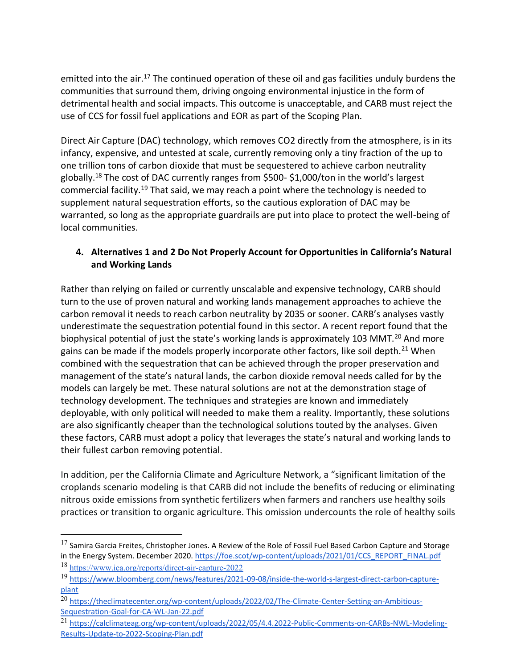emitted into the air.<sup>17</sup> The continued operation of these oil and gas facilities unduly burdens the communities that surround them, driving ongoing environmental injustice in the form of detrimental health and social impacts. This outcome is unacceptable, and CARB must reject the use of CCS for fossil fuel applications and EOR as part of the Scoping Plan.

Direct Air Capture (DAC) technology, which removes CO2 directly from the atmosphere, is in its infancy, expensive, and untested at scale, currently removing only a tiny fraction of the up to one trillion tons of carbon dioxide that must be sequestered to achieve carbon neutrality globally.<sup>18</sup> The cost of DAC currently ranges from \$500- \$1,000/ton in the world's largest commercial facility.<sup>19</sup> That said, we may reach a point where the technology is needed to supplement natural sequestration efforts, so the cautious exploration of DAC may be warranted, so long as the appropriate guardrails are put into place to protect the well-being of local communities.

## **4. Alternatives 1 and 2 Do Not Properly Account for Opportunities in California's Natural and Working Lands**

Rather than relying on failed or currently unscalable and expensive technology, CARB should turn to the use of proven natural and working lands management approaches to achieve the carbon removal it needs to reach carbon neutrality by 2035 or sooner. CARB's analyses vastly underestimate the sequestration potential found in this sector. A recent report found that the biophysical potential of just the state's working lands is approximately 103 MMT.<sup>20</sup> And more gains can be made if the models properly incorporate other factors, like soil depth.<sup>21</sup> When combined with the sequestration that can be achieved through the proper preservation and management of the state's natural lands, the carbon dioxide removal needs called for by the models can largely be met. These natural solutions are not at the demonstration stage of technology development. The techniques and strategies are known and immediately deployable, with only political will needed to make them a reality. Importantly, these solutions are also significantly cheaper than the technological solutions touted by the analyses. Given these factors, CARB must adopt a policy that leverages the state's natural and working lands to their fullest carbon removing potential.

In addition, per the California Climate and Agriculture Network, a "significant limitation of the croplands scenario modeling is that CARB did not include the benefits of reducing or eliminating nitrous oxide emissions from synthetic fertilizers when farmers and ranchers use healthy soils practices or transition to organic agriculture. This omission undercounts the role of healthy soils

 $17$  Samira Garcia Freites, Christopher Jones. A Review of the Role of Fossil Fuel Based Carbon Capture and Storage in the Energy System. December 2020. [https://foe.scot/wp-content/uploads/2021/01/CCS\\_REPORT\\_FINAL.pdf](https://foe.scot/wp-content/uploads/2021/01/CCS_REPORT_FINAL.pdf)

<sup>18</sup> [https://www.iea.org/reports/direct-air-capture-2022](https://www.iea.org/reports/direct-air-capture)

<sup>19</sup> https://www.bloomberg.com/news/features/2021-09-08/inside-the-world-s-largest-direct-carbon-captureplant

<sup>&</sup>lt;sup>20</sup> https://theclimatecenter.org/wp-content/uploads/2022/02/The-Climate-Center-Setting-an-Ambitious-Sequestration-Goal-for-CA-WL-Jan-22.pdf

<sup>21</sup> https://calclimateag.org/wp-content/uploads/2022/05/4.4.2022-Public-Comments-on-CARBs-NWL-Modeling-Results-Update-to-2022-Scoping-Plan.pdf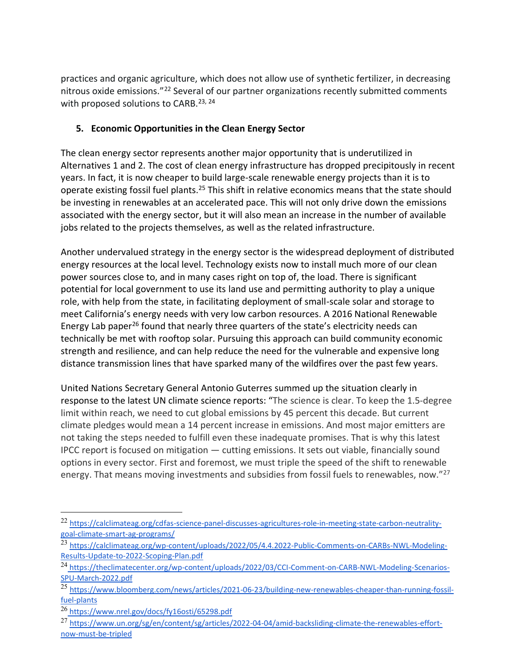practices and organic agriculture, which does not allow use of synthetic fertilizer, in decreasing nitrous oxide emissions."<sup>22</sup> Several of our partner organizations recently submitted comments with proposed solutions to CARB.<sup>23, 24</sup>

## **5. Economic Opportunities in the Clean Energy Sector**

The clean energy sector represents another major opportunity that is underutilized in Alternatives 1 and 2. The cost of clean energy infrastructure has dropped precipitously in recent years. In fact, it is now cheaper to build large-scale renewable energy projects than it is to operate existing fossil fuel plants.<sup>25</sup> This shift in relative economics means that the state should be investing in renewables at an accelerated pace. This will not only drive down the emissions associated with the energy sector, but it will also mean an increase in the number of available jobs related to the projects themselves, as well as the related infrastructure.

Another undervalued strategy in the energy sector is the widespread deployment of distributed energy resources at the local level. Technology exists now to install much more of our clean power sources close to, and in many cases right on top of, the load. There is significant potential for local government to use its land use and permitting authority to play a unique role, with help from the state, in facilitating deployment of small-scale solar and storage to meet California's energy needs with very low carbon resources. A 2016 National Renewable Energy Lab paper<sup>26</sup> found that nearly three quarters of the state's electricity needs can technically be met with rooftop solar. Pursuing this approach can build community economic strength and resilience, and can help reduce the need for the vulnerable and expensive long distance transmission lines that have sparked many of the wildfires over the past few years.

United Nations Secretary General Antonio Guterres summed up the situation clearly in response to the latest UN climate science reports: "The science is clear. To keep the 1.5-degree limit within reach, we need to cut global emissions by 45 percent this decade. But current climate pledges would mean a 14 percent increase in emissions. And most major emitters are not taking the steps needed to fulfill even these inadequate promises. That is why this latest IPCC report is focused on mitigation — cutting emissions. It sets out viable, financially sound options in every sector. First and foremost, we must triple the speed of the shift to renewable energy. That means moving investments and subsidies from fossil fuels to renewables, now."<sup>27</sup>

<sup>22</sup> https://calclimateag.org/cdfas-science-panel-discusses-agricultures-role-in-meeting-state-carbon-neutralitygoal-climate-smart-ag-programs/

<sup>23</sup> https://calclimateag.org/wp-content/uploads/2022/05/4.4.2022-Public-Comments-on-CARBs-NWL-Modeling-Results-Update-to-2022-Scoping-Plan.pdf

<sup>24</sup> https://theclimatecenter.org/wp-content/uploads/2022/03/CCI-Comment-on-CARB-NWL-Modeling-Scenarios-SPU-March-2022.pdf

<sup>25</sup> [https://www.bloomberg.com/news/articles/2021-06-23/building-new-renewables-cheaper-than-running-fossil](https://www.bloomberg.com/news/articles/2021-06-23/building-new-renewables-cheaper-than-running-fossil-fuel-plants)[fuel-plants](https://www.bloomberg.com/news/articles/2021-06-23/building-new-renewables-cheaper-than-running-fossil-fuel-plants)

<sup>26</sup> https://www.nrel.gov/docs/fy16osti/65298.pdf

<sup>27</sup> https://www.un.org/sg/en/content/sg/articles/2022-04-04/amid-backsliding-climate-the-renewables-effortnow-must-be-tripled